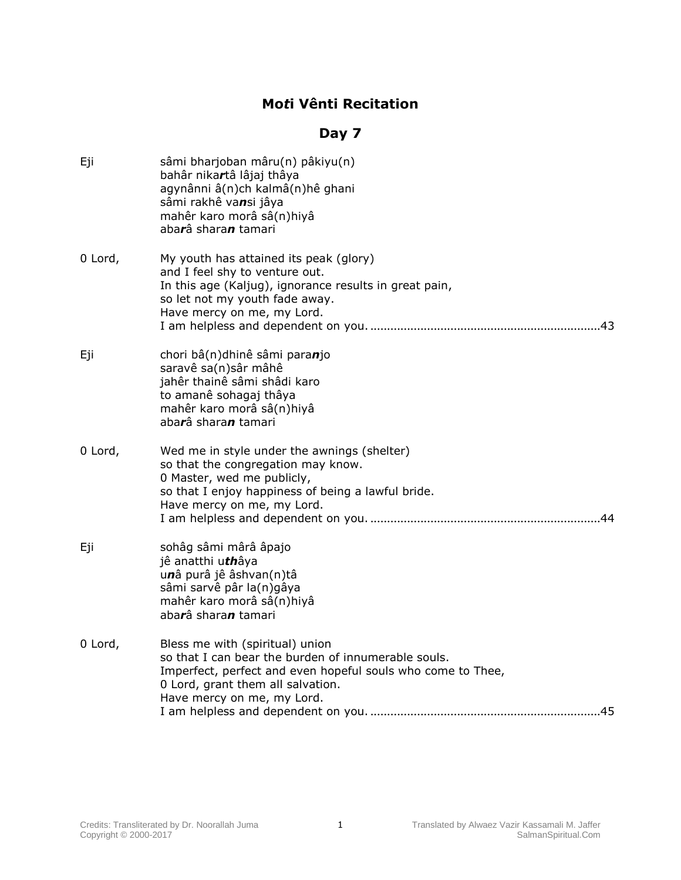## **Mo***t***i Vênti Recitation**

## **Day 7**

| Eji     | sâmi bharjoban mâru(n) pâkiyu(n)<br>bahâr nikartâ lâjaj thâya<br>agynânni â(n)ch kalmâ(n)hê ghani<br>sâmi rakhê vansi jâya<br>mahêr karo morâ sâ(n)hiyâ<br>abarâ sharan tamari                                           |
|---------|--------------------------------------------------------------------------------------------------------------------------------------------------------------------------------------------------------------------------|
| 0 Lord, | My youth has attained its peak (glory)<br>and I feel shy to venture out.<br>In this age (Kaljug), ignorance results in great pain,<br>so let not my youth fade away.<br>Have mercy on me, my Lord.                       |
| Eji     | chori bâ(n)dhinê sâmi paranjo<br>saravê sa(n)sâr mâhê<br>jahêr thainê sâmi shâdi karo<br>to amanê sohagaj thâya<br>mahêr karo morâ sâ(n)hiyâ<br>abarâ sharan tamari                                                      |
| 0 Lord, | Wed me in style under the awnings (shelter)<br>so that the congregation may know.<br>0 Master, wed me publicly,<br>so that I enjoy happiness of being a lawful bride.<br>Have mercy on me, my Lord.                      |
| Eji     | sohâg sâmi mârâ âpajo<br>jê anatthi uthâya<br>unâ purâ jê âshvan(n)tâ<br>sâmi sarvê pâr la(n)gâya<br>mahêr karo morâ sâ(n)hiyâ<br>abarâ sharan tamari                                                                    |
| 0 Lord, | Bless me with (spiritual) union<br>so that I can bear the burden of innumerable souls.<br>Imperfect, perfect and even hopeful souls who come to Thee,<br>0 Lord, grant them all salvation.<br>Have mercy on me, my Lord. |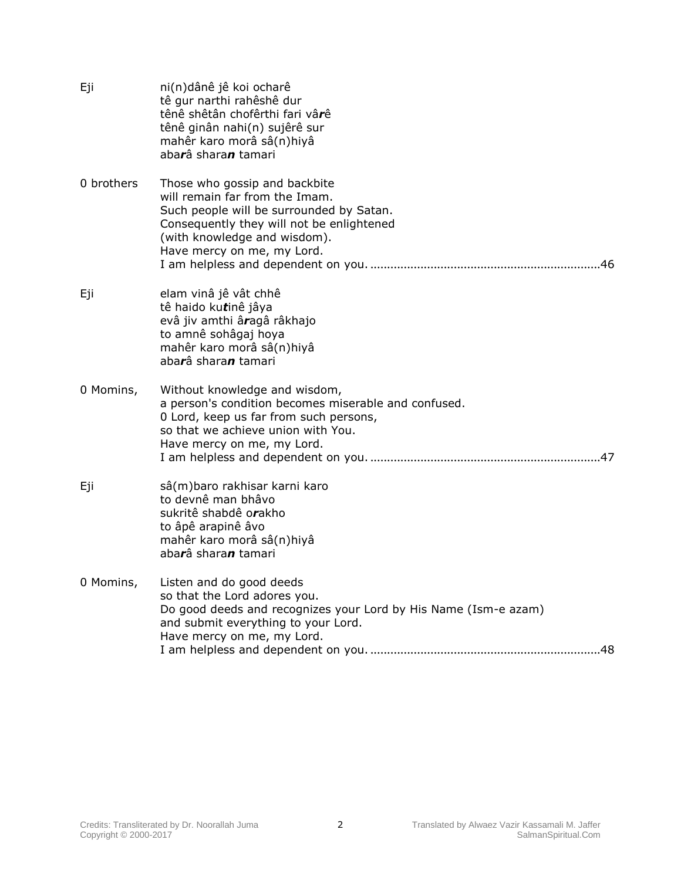| Eji        | ni(n)dânê jê koi ocharê<br>tê gur narthi rahêshê dur<br>tênê shêtân chofêrthi fari vârê<br>tênê ginân nahi(n) sujêrê sur<br>mahêr karo morâ sâ(n)hiyâ<br>abarâ sharan tamari                                           |
|------------|------------------------------------------------------------------------------------------------------------------------------------------------------------------------------------------------------------------------|
| 0 brothers | Those who gossip and backbite<br>will remain far from the Imam.<br>Such people will be surrounded by Satan.<br>Consequently they will not be enlightened<br>(with knowledge and wisdom).<br>Have mercy on me, my Lord. |
| Eji        | elam vinâ jê vât chhê<br>tê haido kutinê jâya<br>evâ jiv amthi âragâ râkhajo<br>to amnê sohâgaj hoya<br>mahêr karo morâ sâ(n)hiyâ<br>abarâ sharan tamari                                                               |
| 0 Momins,  | Without knowledge and wisdom,<br>a person's condition becomes miserable and confused.<br>0 Lord, keep us far from such persons,<br>so that we achieve union with You.<br>Have mercy on me, my Lord.                    |
| Eji        | sâ(m)baro rakhisar karni karo<br>to devnê man bhâvo<br>sukritê shabdê orakho<br>to âpê arapinê âvo<br>mahêr karo morâ sâ(n)hiyâ<br>abarâ sharan tamari                                                                 |
| 0 Momins,  | Listen and do good deeds<br>so that the Lord adores you.<br>Do good deeds and recognizes your Lord by His Name (Ism-e azam)<br>and submit everything to your Lord.<br>Have mercy on me, my Lord.                       |